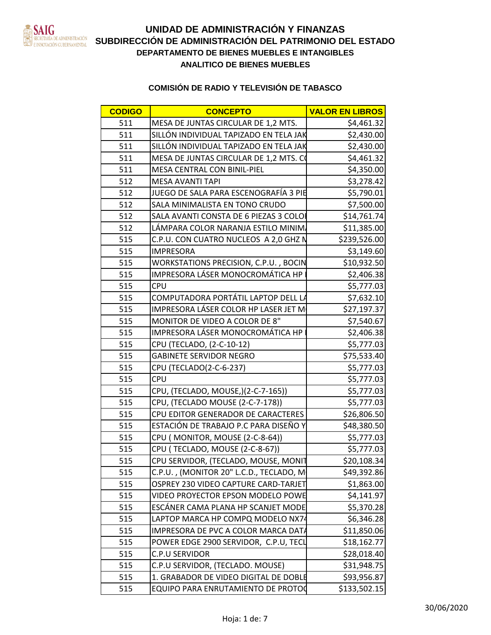

| <b>CODIGO</b> | <b>CONCEPTO</b>                           | <b>VALOR EN LIBRO</b>     |
|---------------|-------------------------------------------|---------------------------|
| 511           | MESA DE JUNTAS CIRCULAR DE 1,2 MTS.       | \$4,461.32                |
| 511           | SILLÓN INDIVIDUAL TAPIZADO EN TELA J      | \$2,430.00                |
| 511           | SILLÓN INDIVIDUAL TAPIZADO EN TELA J      | \$2,430.00                |
| 511           | MESA DE JUNTAS CIRCULAR DE 1,2 MTS.       | \$4,461.32                |
| 511           | MESA CENTRAL CON BINIL-PIEL               | \$4,350.00                |
| 512           | MESA AVANTI TAPI                          | \$3,278.42                |
| 512           | JUEGO DE SALA PARA ESCENOGRAFÍA 3 F       | \$5,790.0                 |
| 512           | SALA MINIMALISTA EN TONO CRUDO            | \$7,500.00                |
| 512           | SALA AVANTI CONSTA DE 6 PIEZAS 3 COL      | \$14,761.74               |
| 512           | LÁMPARA COLOR NARANJA ESTILO MINIM        | $\frac{1}{511,385.00}$    |
| 515           | C.P.U. CON CUATRO NUCLEOS A 2,0 GHZ I     | \$239,526.00              |
| 515           | <b>IMPRESORA</b>                          | \$3,149.60                |
| 515           | WORKSTATIONS PRECISION, C.P.U., BOCIN     | \$10,932.50               |
| 515           | IMPRESORA LÁSER MONOCROMÁTICA HP          | \$2,406.38                |
| 515           | <b>ICPU</b>                               | \$5,777.03                |
| 515           | COMPUTADORA PORTÁTIL LAPTOP DELL          | \$7,632.1                 |
| 515           | IMPRESORA LÁSER COLOR HP LASER JET N      | \$27,197.37               |
| 515           | MONITOR DE VIDEO A COLOR DE 8"            | \$7,540.67                |
| 515           | IMPRESORA LÁSER MONOCROMÁTICA HP          | \$2,406.38                |
| 515           | CPU (TECLADO, (2-C-10-12)                 | \$5,777.03                |
| 515           | <b>GABINETE SERVIDOR NEGRO</b>            | \$75,533.40               |
| 515           | CPU (TECLADO(2-C-6-237)                   | \$5,777.03                |
| 515 CPU       |                                           | \$5,777.03                |
| 515           | CPU, (TECLADO, MOUSE,)(2-C-7-165))        | \$5,777.03                |
| 515           | CPU, (TECLADO MOUSE (2-C-7-178))          | \$5,777.03                |
| 515           | CPU EDITOR GENERADOR DE CARACTERE         | \$26,806.50               |
| 515           | ESTACIÓN DE TRABAJO P.C PARA DISEÑO       | \$48,380.5                |
| 515           | CPU (MONITOR, MOUSE (2-C-8-64))           | \$5,777.03                |
|               |                                           | \$5,777.03                |
| 515           | CPU SERVIDOR, (TECLADO, MOUSE, MONIT      | \$20,108.34               |
| 515           | C.P.U., (MONITOR 20" L.C.D., TECLADO, M   | \$49,392.86               |
|               | 515   OSPREY 230 VIDEO CAPTURE CARD-TARJE | \$1,863.00                |
| 515           | VIDEO PROYECTOR EPSON MODELO POWE         | \$4,141.9                 |
| 515           | ESCÁNER CAMA PLANA HP SCANJET MOD         |                           |
| 515           | LAPTOP MARCA HP COMPQ MODELO NX74         | $$5,370.28$<br>\$6,346.28 |
| 515           | IMPRESORA DE PVC A COLOR MARCA DAT        | \$11,850.0                |
|               | 515 POWER EDGE 2900 SERVIDOR, C.P.U, TECL | \$18,162.77               |
| 515           | C.P.U SERVIDOR                            | \$28,018.40               |
| 515           | C.P.U SERVIDOR, (TECLADO. MOUSE)          | \$31,948.7                |
| 515           | 1. GRABADOR DE VIDEO DIGITAL DE DOBL      | \$93,956.8                |
|               | 515   EQUIPO PARA ENRUTAMIENTO DE PROTO   | \$133,502.15              |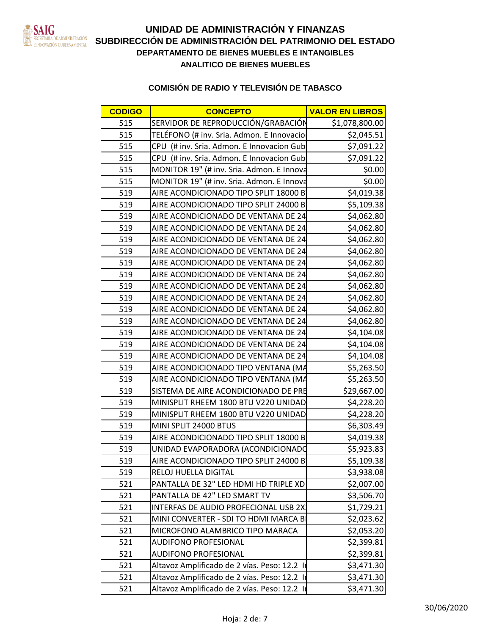

| <b>CODIGO</b> | <b>CONCEPTO</b>                              | <b>VALOR EN LIBROS</b> |
|---------------|----------------------------------------------|------------------------|
| 515           | SERVIDOR DE REPRODUCCIÓN/GRABACIÓN           | \$1,078,800.00         |
| 515           | TELÉFONO (# inv. Sria. Admon. E Innovacio    | \$2,045.51             |
| 515           | CPU (# inv. Sria. Admon. E Innovacion Gub    | \$7,091.22             |
| 515           | CPU (# inv. Sria. Admon. E Innovacion Gub    | \$7,091.22             |
| 515           | MONITOR 19" (# inv. Sria. Admon. E Innova    | \$0.00                 |
| 515           | MONITOR 19" (# inv. Sria. Admon. E Innova    | \$0.00                 |
| 519           | AIRE ACONDICIONADO TIPO SPLIT 18000 B        | \$4,019.38             |
| 519           | AIRE ACONDICIONADO TIPO SPLIT 24000 B        | \$5,109.38             |
| 519           | AIRE ACONDICIONADO DE VENTANA DE 24          | \$4,062.80             |
| 519           | AIRE ACONDICIONADO DE VENTANA DE 24          | \$4,062.80             |
| 519           | AIRE ACONDICIONADO DE VENTANA DE 24          | \$4,062.80             |
| 519           | AIRE ACONDICIONADO DE VENTANA DE 24          | \$4,062.80             |
| 519           | AIRE ACONDICIONADO DE VENTANA DE 24          | \$4,062.80             |
| 519           | AIRE ACONDICIONADO DE VENTANA DE 24          | \$4,062.80             |
| 519           | AIRE ACONDICIONADO DE VENTANA DE 24          | \$4,062.80             |
| 519           | AIRE ACONDICIONADO DE VENTANA DE 24          | \$4,062.80             |
| 519           | AIRE ACONDICIONADO DE VENTANA DE 24          | \$4,062.80             |
| 519           | AIRE ACONDICIONADO DE VENTANA DE 24          | \$4,062.80             |
| 519           | AIRE ACONDICIONADO DE VENTANA DE 24          | \$4,104.08             |
| 519           | AIRE ACONDICIONADO DE VENTANA DE 24          | \$4,104.08             |
| 519           | AIRE ACONDICIONADO DE VENTANA DE 24          | \$4,104.08             |
| 519           | AIRE ACONDICIONADO TIPO VENTANA (MA          | \$5,263.50             |
| 519           | AIRE ACONDICIONADO TIPO VENTANA (MA          | \$5,263.50             |
| 519           | SISTEMA DE AIRE ACONDICIONADO DE PRE         | \$29,667.00            |
| 519           | MINISPLIT RHEEM 1800 BTU V220 UNIDAD         | \$4,228.20             |
| 519           | MINISPLIT RHEEM 1800 BTU V220 UNIDAD         | \$4,228.20             |
| 519           | MINI SPLIT 24000 BTUS                        | \$6,303.49             |
| 519           | AIRE ACONDICIONADO TIPO SPLIT 18000 B        | \$4,019.38             |
| 519           | UNIDAD EVAPORADORA (ACONDICIONADO            | \$5,923.83             |
| 519           | AIRE ACONDICIONADO TIPO SPLIT 24000 B        | \$5,109.38             |
| 519           | <b>RELOJ HUELLA DIGITAL</b>                  | \$3,938.08             |
| 521           | PANTALLA DE 32" LED HDMI HD TRIPLE XD        | \$2,007.00             |
| 521           | PANTALLA DE 42" LED SMART TV                 | \$3,506.70             |
| 521           | INTERFAS DE AUDIO PROFECIONAL USB 2X         | \$1,729.21             |
| 521           | MINI CONVERTER - SDI TO HDMI MARCA B         | \$2,023.62             |
| 521           | MICROFONO ALAMBRICO TIPO MARACA              | \$2,053.20             |
| 521           | <b>AUDIFONO PROFESIONAL</b>                  | \$2,399.81             |
| 521           | <b>AUDIFONO PROFESIONAL</b>                  | \$2,399.81             |
| 521           | Altavoz Amplificado de 2 vías. Peso: 12.2 li | \$3,471.30             |
| 521           | Altavoz Amplificado de 2 vías. Peso: 12.2    | \$3,471.30             |
| 521           | Altavoz Amplificado de 2 vías. Peso: 12.2 li | \$3,471.30             |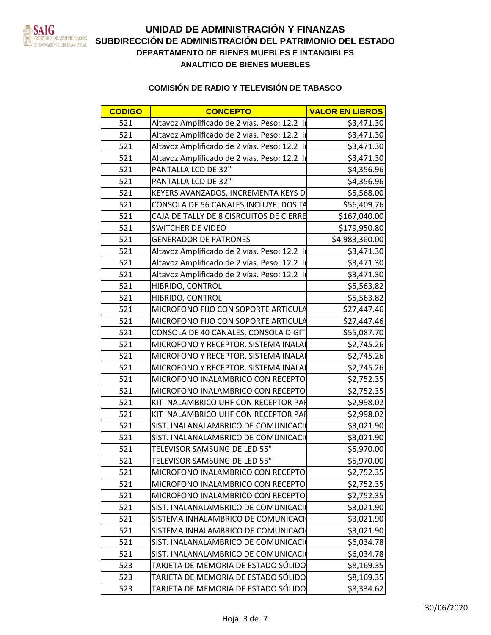

| <b>CODIGO</b> | <b>CONCEPTO</b>                             | <b>VALOR EN LIBROS</b> |
|---------------|---------------------------------------------|------------------------|
| 521           | Altavoz Amplificado de 2 vías. Peso: 12.2   | \$3,471.30             |
| 521           | Altavoz Amplificado de 2 vías. Peso: 12.2   | \$3,471.30             |
| 521           | Altavoz Amplificado de 2 vías. Peso: 12.2   | \$3,471.30             |
| 521           | Altavoz Amplificado de 2 vías. Peso: 12.2   | \$3,471.30             |
| 521           | PANTALLA LCD DE 32"                         | \$4,356.96             |
| 521           | PANTALLA LCD DE 32"                         | \$4,356.96             |
| 521           | KEYERS AVANZADOS, INCREMENTA KEYS D         | \$5,568.00             |
| 521           | CONSOLA DE 56 CANALES, INCLUYE: DOS TA      | \$56,409.76            |
| 521           | CAJA DE TALLY DE 8 CISRCUITOS DE CIERRE     | \$167,040.00           |
| 521           | <b>SWITCHER DE VIDEO</b>                    | \$179,950.80           |
| 521           | <b>GENERADOR DE PATRONES</b>                | \$4,983,360.00         |
| 521           | Altavoz Amplificado de 2 vías. Peso: 12.2 I | \$3,471.30             |
| 521           | Altavoz Amplificado de 2 vías. Peso: 12.2 I | \$3,471.30             |
| 521           | Altavoz Amplificado de 2 vías. Peso: 12.2   | \$3,471.30             |
| 521           | <b>HIBRIDO, CONTROL</b>                     | \$5,563.82             |
| 521           | HIBRIDO, CONTROL                            | \$5,563.82             |
| 521           | MICROFONO FIJO CON SOPORTE ARTICULA         | \$27,447.46            |
| 521           | MICROFONO FIJO CON SOPORTE ARTICULA         | \$27,447.46            |
| 521           | CONSOLA DE 40 CANALES, CONSOLA DIGIT        | \$55,087.70            |
| 521           | MICROFONO Y RECEPTOR. SISTEMA INALAI        | \$2,745.26             |
| 521           | MICROFONO Y RECEPTOR. SISTEMA INALA         | \$2,745.26             |
| 521           | MICROFONO Y RECEPTOR. SISTEMA INALAI        | \$2,745.26             |
| 521           | MICROFONO INALAMBRICO CON RECEPTO           | \$2,752.35             |
| 521           | MICROFONO INALAMBRICO CON RECEPTO           | \$2,752.35             |
| 521           | KIT INALAMBRICO UHF CON RECEPTOR PAR        | \$2,998.02             |
| 521           | KIT INALAMBRICO UHF CON RECEPTOR PAI        | \$2,998.02             |
| 521           | SIST. INALANALAMBRICO DE COMUNICACION       | \$3,021.90             |
| 521           | SIST. INALANALAMBRICO DE COMUNICACION       | \$3,021.90             |
| 521           | TELEVISOR SAMSUNG DE LED 55"                | \$5,970.00             |
| 521           | TELEVISOR SAMSUNG DE LED 55"                | \$5,970.00             |
| 521           | MICROFONO INALAMBRICO CON RECEPTO           | \$2,752.35             |
| 521           | MICROFONO INALAMBRICO CON RECEPTO           | \$2,752.35             |
| 521           | MICROFONO INALAMBRICO CON RECEPTO           | \$2,752.35             |
| 521           | SIST. INALANALAMBRICO DE COMUNICACIÓ        | \$3,021.90             |
| 521           | SISTEMA INHALAMBRICO DE COMUNICACI          | \$3,021.90             |
| 521           | SISTEMA INHALAMBRICO DE COMUNICACI          | \$3,021.90             |
| 521           | SIST. INALANALAMBRICO DE COMUNICACIÓ        | \$6,034.78             |
| 521           | SIST. INALANALAMBRICO DE COMUNICACIÓ        | \$6,034.78             |
| 523           | TARJETA DE MEMORIA DE ESTADO SÓLIDO         | \$8,169.35             |
| 523           | TARJETA DE MEMORIA DE ESTADO SÓLIDO         | \$8,169.35             |
| 523           | TARJETA DE MEMORIA DE ESTADO SÓLIDO         | \$8,334.62             |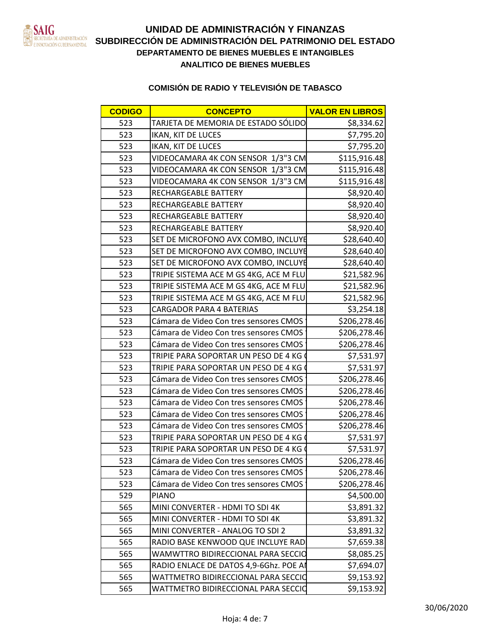

| TARJETA DE MEMORIA DE ESTADO SÓLIDO                                                                                                                                                                                           |  |  |  |
|-------------------------------------------------------------------------------------------------------------------------------------------------------------------------------------------------------------------------------|--|--|--|
|                                                                                                                                                                                                                               |  |  |  |
|                                                                                                                                                                                                                               |  |  |  |
| VIDEOCAMARA 4K CON SENSOR 1,                                                                                                                                                                                                  |  |  |  |
| OCAMARA 4K CON SENSOR 1,                                                                                                                                                                                                      |  |  |  |
| DEOCAMARA 4K CON SENSOR 1                                                                                                                                                                                                     |  |  |  |
| RECHARGEABLE BATTERY                                                                                                                                                                                                          |  |  |  |
| 0.47750V<br>RGEABLE BATTER                                                                                                                                                                                                    |  |  |  |
| RECHARGEABLE BATTERY                                                                                                                                                                                                          |  |  |  |
| HARGEABLE BATTERY                                                                                                                                                                                                             |  |  |  |
| <b>ET DE MICROFONO AVX COMBO,</b>                                                                                                                                                                                             |  |  |  |
| ISET DE MICROFONO AVX COMBO, INCLUYE                                                                                                                                                                                          |  |  |  |
| ET DE MICROFONO AVX COMBO, IN                                                                                                                                                                                                 |  |  |  |
| TRIPIE SISTEMA ACE M GS 4KG, ACE                                                                                                                                                                                              |  |  |  |
| TRIPIE SISTEMA ACE M GS 4KG, ACE M F                                                                                                                                                                                          |  |  |  |
| RIPIE SISTEMA ACE M GS 4KG, ACE I                                                                                                                                                                                             |  |  |  |
| CARGADOR PARA 4 BATERIAS                                                                                                                                                                                                      |  |  |  |
| Cámara de Video Con tres sensores CN                                                                                                                                                                                          |  |  |  |
| Cámara de Video Con tres sensores CMOS                                                                                                                                                                                        |  |  |  |
| Cámara de Video Con tres sensores CMOS                                                                                                                                                                                        |  |  |  |
| TRIPIE PARA SOPORTAR UN PESO DE                                                                                                                                                                                               |  |  |  |
| TRIPIE PARA SOPORTAR UN PESO DE 4 K                                                                                                                                                                                           |  |  |  |
| Cámara de Video Con tres sensores CM                                                                                                                                                                                          |  |  |  |
| ara de Video Con tres sensores                                                                                                                                                                                                |  |  |  |
| Cámara de Video Con tres sensores CM                                                                                                                                                                                          |  |  |  |
| Cámara de Video Con tres sensores CMOS<br>Cámara de Video Con tres sensores CMOS                                                                                                                                              |  |  |  |
|                                                                                                                                                                                                                               |  |  |  |
| $\overline{\phantom{a}}$ ripie para soportar un peso de $\overline{\phantom{a}}$                                                                                                                                              |  |  |  |
| PARA SOPORTAR UN PESO DE 4                                                                                                                                                                                                    |  |  |  |
| Cámara de Video Con tres sensores CMOS<br>\$206.278.46                                                                                                                                                                        |  |  |  |
|                                                                                                                                                                                                                               |  |  |  |
| 523 Cámara de Video Con tres sensores CM<br>3 Cámara de Video Con tres sensores CMOS                                                                                                                                          |  |  |  |
|                                                                                                                                                                                                                               |  |  |  |
| 53891                                                                                                                                                                                                                         |  |  |  |
|                                                                                                                                                                                                                               |  |  |  |
|                                                                                                                                                                                                                               |  |  |  |
| 529 PIANO<br>565 MINI CONVERTER - HDMI TO SDI 4K<br>565 MINI CONVERTER - HDMI TO SDI 4K<br>565 MINI CONVERTER - ANALOG TO SDI 2<br>565 RADIO BASE KENWOOD QUE INCLUYE RAD<br>565 MANUTTRO BIDIPECCIONAL PARA SECCIO<br>576938 |  |  |  |
| WAMWTTRO BIDIRECCIONAL PARA SECCIO<br>\$8.085.25                                                                                                                                                                              |  |  |  |
| 565 RADIO ENLACE DE DATOS 4,9-6Ghz. POE AM<br>565 WATTMETRO BIDIRECCIONAL PARA SECCIO                                                                                                                                         |  |  |  |
|                                                                                                                                                                                                                               |  |  |  |
|                                                                                                                                                                                                                               |  |  |  |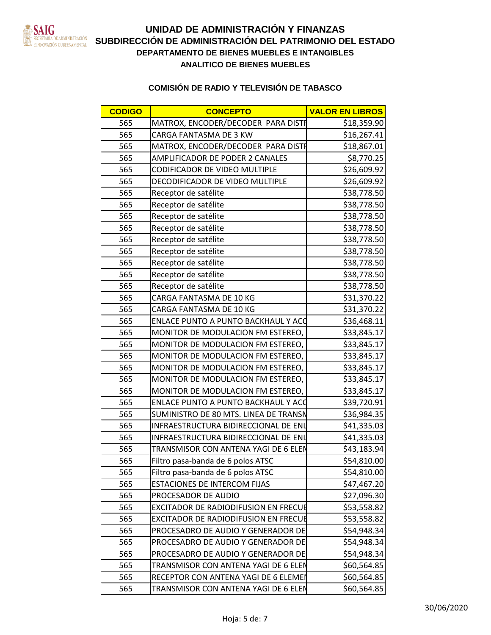

| <b>CODIGO</b> | <b>CONCEPTO</b>                             | <b>VALOR EN LIBROS</b> |
|---------------|---------------------------------------------|------------------------|
| 565           | MATROX, ENCODER/DECODER PARA DISTR          | \$18,359.90            |
| 565           | CARGA FANTASMA DE 3 KW                      | \$16,267.41            |
| 565           | MATROX, ENCODER/DECODER PARA DISTI          | \$18,867.01            |
| 565           | <b>AMPLIFICADOR DE PODER 2 CANALES</b>      | \$8,770.25             |
| 565           | CODIFICADOR DE VIDEO MULTIPLE               | \$26,609.92            |
| 565           | <b>DECODIFICADOR DE VIDEO MULTIPLE</b>      | \$26,609.92            |
| 565           | Receptor de satélite                        | \$38,778.50            |
| 565           | Receptor de satélite                        | \$38,778.50            |
| 565           | Receptor de satélite                        | \$38,778.50            |
| 565           | Receptor de satélite                        | \$38,778.50            |
| 565           | Receptor de satélite                        | \$38,778.50            |
| 565           | Receptor de satélite                        | \$38,778.50            |
| 565           | Receptor de satélite                        | \$38,778.50            |
| 565           | Receptor de satélite                        | \$38,778.50            |
| 565           | Receptor de satélite                        | \$38,778.50            |
| 565           | CARGA FANTASMA DE 10 KG                     | \$31,370.22            |
| 565           | CARGA FANTASMA DE 10 KG                     | \$31,370.22            |
| 565           | <b>ENLACE PUNTO A PUNTO BACKHAUL Y ACC</b>  | \$36,468.11            |
| 565           | MONITOR DE MODULACION FM ESTEREO,           | \$33,845.17            |
| 565           | MONITOR DE MODULACION FM ESTEREO,           | \$33,845.17            |
| 565           | MONITOR DE MODULACION FM ESTEREO,           | \$33,845.17            |
| 565           | MONITOR DE MODULACION FM ESTEREO,           | \$33,845.17            |
| 565           | MONITOR DE MODULACION FM ESTEREO,           | \$33,845.17            |
| 565           | MONITOR DE MODULACION FM ESTEREO,           | \$33,845.17            |
| 565           | <b>ENLACE PUNTO A PUNTO BACKHAUL Y ACC</b>  | \$39,720.91            |
| 565           | SUMINISTRO DE 80 MTS. LINEA DE TRANSN       | \$36,984.35            |
| 565           | INFRAESTRUCTURA BIDIRECCIONAL DE ENL        | \$41,335.03            |
| 565           | INFRAESTRUCTURA BIDIRECCIONAL DE ENL        | \$41,335.03            |
| 565           | TRANSMISOR CON ANTENA YAGI DE 6 ELEN        | \$43,183.94            |
| 565           | Filtro pasa-banda de 6 polos ATSC           | \$54,810.00            |
| 565           | Filtro pasa-banda de 6 polos ATSC           | \$54,810.00            |
| 565           | <b>ESTACIONES DE INTERCOM FIJAS</b>         | \$47,467.20            |
| 565           | <b>PROCESADOR DE AUDIO</b>                  | \$27,096.30            |
| 565           | <b>EXCITADOR DE RADIODIFUSION EN FRECUE</b> | \$53,558.82            |
| 565           | <b>EXCITADOR DE RADIODIFUSION EN FRECUE</b> | \$53,558.82            |
| 565           | <b>PROCESADRO DE AUDIO Y GENERADOR DE</b>   | \$54,948.34            |
| 565           | PROCESADRO DE AUDIO Y GENERADOR DE          | \$54,948.34            |
| 565           | PROCESADRO DE AUDIO Y GENERADOR DE          | \$54,948.34            |
| 565           | TRANSMISOR CON ANTENA YAGI DE 6 ELEN        | \$60,564.85            |
| 565           | RECEPTOR CON ANTENA YAGI DE 6 ELEMEN        | \$60,564.85            |
| 565           | TRANSMISOR CON ANTENA YAGI DE 6 ELEN        | \$60,564.85            |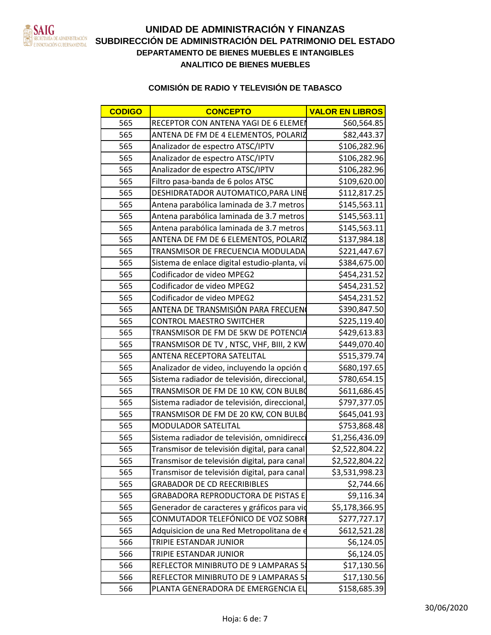

| <b>CODIGO</b> | <b>CONCEPTO</b>                              | <b>VALOR EN LIBROS</b> |
|---------------|----------------------------------------------|------------------------|
| 565           | RECEPTOR CON ANTENA YAGI DE 6 ELEMEN         | \$60,564.85            |
| 565           | ANTENA DE FM DE 4 ELEMENTOS, POLARIZ         | \$82,443.37            |
| 565           | Analizador de espectro ATSC/IPTV             | \$106,282.96           |
| 565           | Analizador de espectro ATSC/IPTV             | \$106,282.96           |
| 565           | Analizador de espectro ATSC/IPTV             | \$106,282.96           |
| 565           | Filtro pasa-banda de 6 polos ATSC            | \$109,620.00           |
| 565           | <b>DESHIDRATADOR AUTOMATICO, PARA LINE</b>   | \$112,817.25           |
| 565           | Antena parabólica laminada de 3.7 metros     | \$145,563.11           |
| 565           | Antena parabólica laminada de 3.7 metros     | \$145,563.11           |
| 565           | Antena parabólica laminada de 3.7 metros     | \$145,563.11           |
| 565           | ANTENA DE FM DE 6 ELEMENTOS, POLARIZ         | \$137,984.18           |
| 565           | TRANSMISOR DE FRECUENCIA MODULADA            | \$221,447.67           |
| 565           | Sistema de enlace digital estudio-planta, vi | \$384,675.00           |
| 565           | Codificador de video MPEG2                   | \$454,231.52           |
| 565           | Codificador de video MPEG2                   | \$454,231.52           |
| 565           | Codificador de video MPEG2                   | \$454,231.52           |
| 565           | ANTENA DE TRANSMISIÓN PARA FRECUEN           | \$390,847.50           |
| 565           | CONTROL MAESTRO SWITCHER                     | \$225,119.40           |
| 565           | TRANSMISOR DE FM DE 5KW DE POTENCIA          | \$429,613.83           |
| 565           | TRANSMISOR DE TV, NTSC, VHF, BIII, 2 KW      | \$449,070.40           |
| 565           | <b>ANTENA RECEPTORA SATELITAL</b>            | \$515,379.74           |
| 565           | Analizador de video, incluyendo la opción d  | \$680,197.65           |
| 565           | Sistema radiador de televisión, direccional, | \$780,654.15           |
| 565           | TRANSMISOR DE FM DE 10 KW, CON BULB          | \$611,686.45           |
| 565           | Sistema radiador de televisión, direccional  | \$797,377.05           |
| 565           | TRANSMISOR DE FM DE 20 KW, CON BULBO         | \$645,041.93           |
| 565           | MODULADOR SATELITAL                          | \$753,868.48           |
| 565           | Sistema radiador de televisión, omnidirecc   | \$1,256,436.09         |
| 565           | Transmisor de televisión digital, para canal | \$2,522,804.22         |
| 565           | Transmisor de televisión digital, para canal | \$2,522,804.22         |
| 565           | Transmisor de televisión digital, para canal | \$3,531,998.23         |
| 565           | <b>GRABADOR DE CD REECRIBIBLES</b>           | \$2,744.66             |
| 565           | GRABADORA REPRODUCTORA DE PISTAS E           | \$9,116.34             |
| 565           | Generador de caracteres y gráficos para vid  | \$5,178,366.95         |
| 565           | CONMUTADOR TELEFÓNICO DE VOZ SOBRI           | \$277,727.17           |
| 565           | Adquisicion de una Red Metropolitana de e    | \$612,521.28           |
| 566           | <b>TRIPIE ESTANDAR JUNIOR</b>                | \$6,124.05             |
| 566           | TRIPIE ESTANDAR JUNIOR                       | \$6,124.05             |
| 566           | REFLECTOR MINIBRUTO DE 9 LAMPARAS 5          | \$17,130.56            |
| 566           | REFLECTOR MINIBRUTO DE 9 LAMPARAS 5          | \$17,130.56            |
| 566           | PLANTA GENERADORA DE EMERGENCIA EL           | \$158,685.39           |